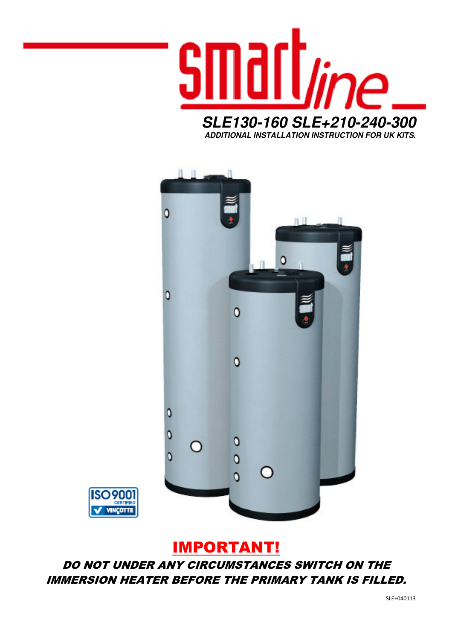

O ٥  $\Omega$ Ō  $\mathbf 0$  $\circ$  $\mathbf 0$ O  $\circ$  $\mathbf 0$ 



# IMPORTANT!

DO NOT UNDER ANY CIRCUMSTANCES SWITCH ON THE IMMERSION HEATER BEFORE THE PRIMARY TANK IS FILLED.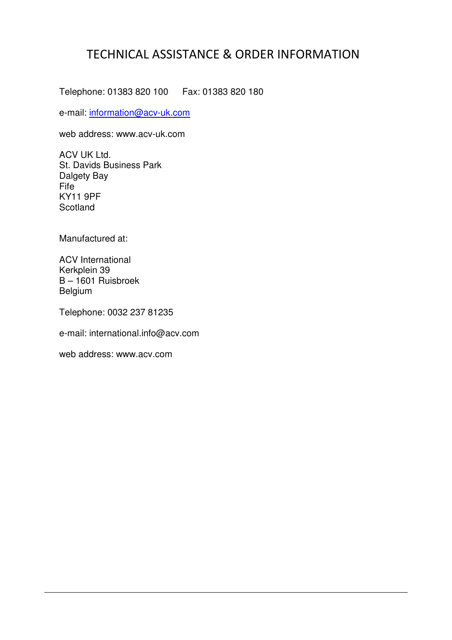## TECHNICAL ASSISTANCE & ORDER INFORMATION

Telephone: 01383 820 100 Fax: 01383 820 180

e-mail: information@acv-uk.com

web address: www.acv-uk.com

ACV UK Ltd. St. Davids Business Park Dalgety Bay Fife KY11 9PF Scotland

Manufactured at:

ACV International Kerkplein 39 B – 1601 Ruisbroek Belgium

Telephone: 0032 237 81235

e-mail: international.info@acv.com

web address: www.acv.com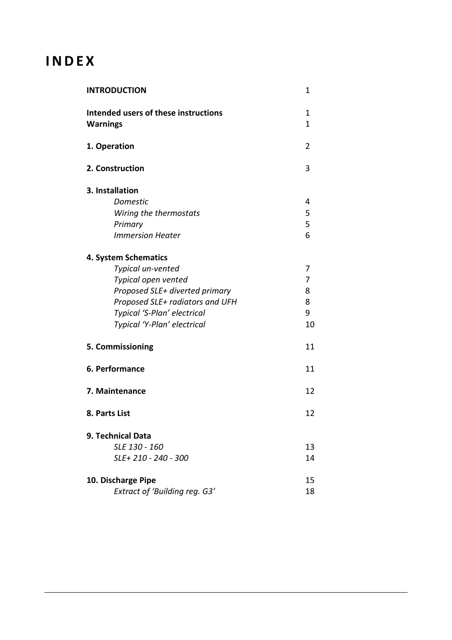# **INDEX**

| <b>INTRODUCTION</b>                                     | 1                 |
|---------------------------------------------------------|-------------------|
| Intended users of these instructions<br><b>Warnings</b> | 1<br>$\mathbf{1}$ |
| 1. Operation                                            | 2                 |
| 2. Construction                                         | 3                 |
| 3. Installation                                         |                   |
| <b>Domestic</b>                                         | 4                 |
| Wiring the thermostats                                  | 5                 |
| Primary                                                 | 5                 |
| <b>Immersion Heater</b>                                 | 6                 |
| 4. System Schematics                                    |                   |
| Typical un-vented                                       | 7                 |
| Typical open vented                                     | 7                 |
| Proposed SLE+ diverted primary                          | 8                 |
| Proposed SLE+ radiators and UFH                         | 8                 |
| Typical 'S-Plan' electrical                             | 9                 |
| Typical 'Y-Plan' electrical                             | 10                |
| 5. Commissioning                                        | 11                |
| 6. Performance                                          | 11                |
| 7. Maintenance                                          | 12                |
| 8. Parts List                                           | 12                |
| 9. Technical Data                                       |                   |
| SLE 130 - 160                                           | 13                |
| SLE+210 - 240 - 300                                     | 14                |
| 10. Discharge Pipe                                      | 15                |
| <b>Extract of 'Building reg. G3'</b>                    | 18                |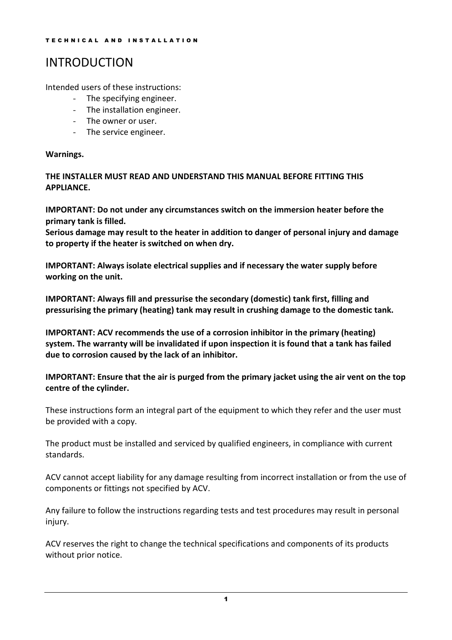## INTRODUCTION

Intended users of these instructions:

- The specifying engineer.
- The installation engineer.
- The owner or user.
- The service engineer.

### Warnings.

THE INSTALLER MUST READ AND UNDERSTAND THIS MANUAL BEFORE FITTING THIS APPLIANCE.

IMPORTANT: Do not under any circumstances switch on the immersion heater before the primary tank is filled.

Serious damage may result to the heater in addition to danger of personal injury and damage to property if the heater is switched on when dry.

IMPORTANT: Always isolate electrical supplies and if necessary the water supply before working on the unit.

IMPORTANT: Always fill and pressurise the secondary (domestic) tank first, filling and pressurising the primary (heating) tank may result in crushing damage to the domestic tank.

IMPORTANT: ACV recommends the use of a corrosion inhibitor in the primary (heating) system. The warranty will be invalidated if upon inspection it is found that a tank has failed due to corrosion caused by the lack of an inhibitor.

IMPORTANT: Ensure that the air is purged from the primary jacket using the air vent on the top centre of the cylinder.

These instructions form an integral part of the equipment to which they refer and the user must be provided with a copy.

The product must be installed and serviced by qualified engineers, in compliance with current standards.

ACV cannot accept liability for any damage resulting from incorrect installation or from the use of components or fittings not specified by ACV.

Any failure to follow the instructions regarding tests and test procedures may result in personal injury.

ACV reserves the right to change the technical specifications and components of its products without prior notice.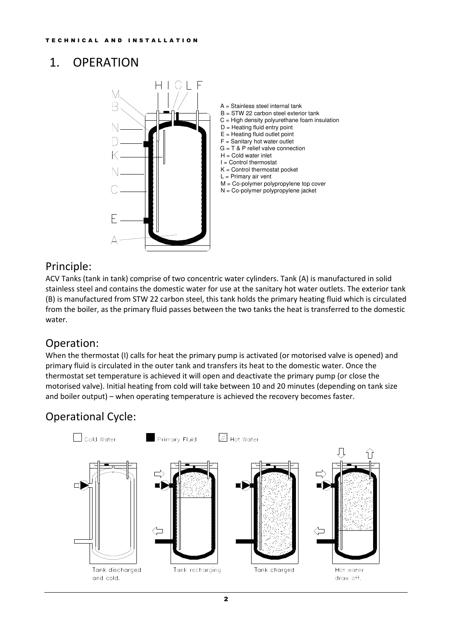## 1. OPERATION



### Principle:

ACV Tanks (tank in tank) comprise of two concentric water cylinders. Tank (A) is manufactured in solid stainless steel and contains the domestic water for use at the sanitary hot water outlets. The exterior tank (B) is manufactured from STW 22 carbon steel, this tank holds the primary heating fluid which is circulated from the boiler, as the primary fluid passes between the two tanks the heat is transferred to the domestic water.

### Operation:

When the thermostat (I) calls for heat the primary pump is activated (or motorised valve is opened) and primary fluid is circulated in the outer tank and transfers its heat to the domestic water. Once the thermostat set temperature is achieved it will open and deactivate the primary pump (or close the motorised valve). Initial heating from cold will take between 10 and 20 minutes (depending on tank size and boiler output) – when operating temperature is achieved the recovery becomes faster.

## Operational Cycle:

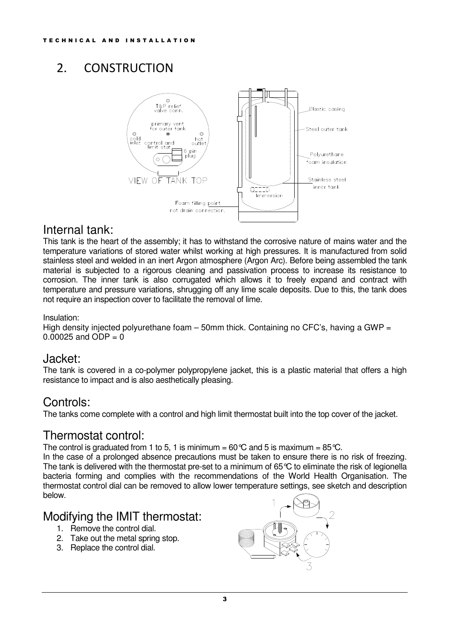## 2. CONSTRUCTION



### Internal tank:

This tank is the heart of the assembly; it has to withstand the corrosive nature of mains water and the temperature variations of stored water whilst working at high pressures. It is manufactured from solid stainless steel and welded in an inert Argon atmosphere (Argon Arc). Before being assembled the tank material is subjected to a rigorous cleaning and passivation process to increase its resistance to corrosion. The inner tank is also corrugated which allows it to freely expand and contract with temperature and pressure variations, shrugging off any lime scale deposits. Due to this, the tank does not require an inspection cover to facilitate the removal of lime.

#### Insulation:

High density injected polyurethane foam – 50mm thick. Containing no CFC's, having a GWP =  $0.00025$  and ODP = 0

### Jacket:

The tank is covered in a co-polymer polypropylene jacket, this is a plastic material that offers a high resistance to impact and is also aesthetically pleasing.

### Controls:

The tanks come complete with a control and high limit thermostat built into the top cover of the jacket.

### Thermostat control:

The control is graduated from 1 to 5, 1 is minimum =  $60^{\circ}$ C and 5 is maximum =  $85^{\circ}$ C.

In the case of a prolonged absence precautions must be taken to ensure there is no risk of freezing. The tank is delivered with the thermostat pre-set to a minimum of 65°C to eliminate the risk of legionella bacteria forming and complies with the recommendations of the World Health Organisation. The thermostat control dial can be removed to allow lower temperature settings, see sketch and description below.

### Modifying the IMIT thermostat:

- 1. Remove the control dial.
- 2. Take out the metal spring stop.
- 3. Replace the control dial.

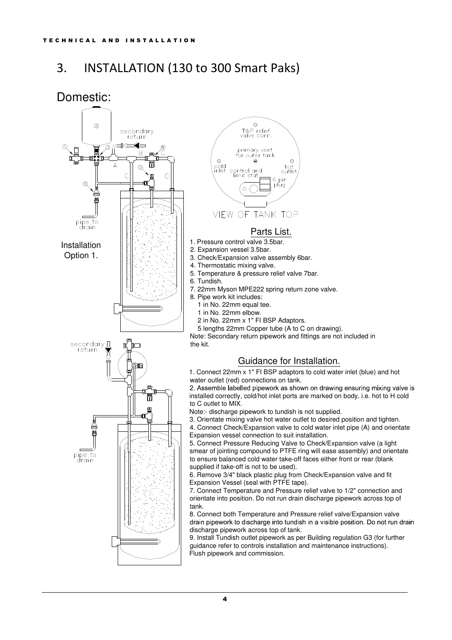## 3. INSTALLATION (130 to 300 Smart Paks)

### Domestic:





- 2. Expansion vessel 3.5bar.
- 3. Check/Expansion valve assembly 6bar.
- 4. Thermostatic mixing valve.
- 5. Temperature & pressure relief valve 7bar.
- 6. Tundish.
- 7. 22mm Myson MPE222 spring return zone valve.
- 8. Pipe work kit includes:
	- 1 in No. 22mm equal tee.
	- 1 in No. 22mm elbow.
	- 2 in No. 22mm x 1" FI BSP Adaptors.
	- 5 lengths 22mm Copper tube (A to C on drawing).

Note: Secondary return pipework and fittings are not included in the kit.

### Guidance for Installation.

1. Connect 22mm x 1" FI BSP adaptors to cold water inlet (blue) and hot water outlet (red) connections on tank.

2. Assemble labelled pipework as shown on drawing ensuring mixing valve is installed correctly, cold/hot inlet ports are marked on body, i.e. hot to H cold to C outlet to MIX.

Note:- discharge pipework to tundish is not supplied.

3. Orientate mixing valve hot water outlet to desired position and tighten. 4. Connect Check/Expansion valve to cold water inlet pipe (A) and orientate Expansion vessel connection to suit installation.

5. Connect Pressure Reducing Valve to Check/Expansion valve (a light smear of jointing compound to PTFE ring will ease assembly) and orientate to ensure balanced cold water take-off faces either front or rear (blank supplied if take-off is not to be used).

6. Remove 3/4" black plastic plug from Check/Expansion valve and fit Expansion Vessel (seal with PTFE tape).

7. Connect Temperature and Pressure relief valve to 1/2" connection and orientate into position. Do not run drain discharge pipework across top of tank.

8. Connect both Temperature and Pressure relief valve/Expansion valve drain pipework to discharge into tundish in a visible position. Do not run drain discharge pipework across top of tank.

9. Install Tundish outlet pipework as per Building regulation G3 (for further guidance refer to controls installation and maintenance instructions). Flush pipework and commission.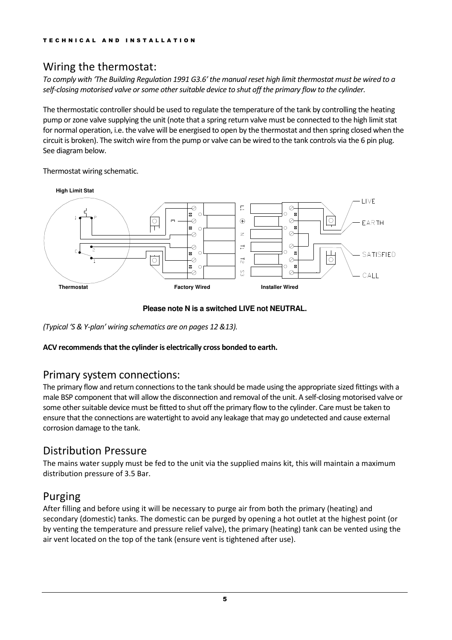## Wiring the thermostat:

To comply with 'The Building Regulation 1991 G3.6' the manual reset high limit thermostat must be wired to a self-closing motorised valve or some other suitable device to shut off the primary flow to the cylinder.

The thermostatic controller should be used to regulate the temperature of the tank by controlling the heating pump or zone valve supplying the unit (note that a spring return valve must be connected to the high limit stat for normal operation, i.e. the valve will be energised to open by the thermostat and then spring closed when the circuit is broken). The switch wire from the pump or valve can be wired to the tank controls via the 6 pin plug. See diagram below.

Thermostat wiring schematic.



#### **Please note N is a switched LIVE not NEUTRAL.**

(Typical 'S & Y-plan' wiring schematics are on pages 12 &13).

### ACV recommends that the cylinder is electrically cross bonded to earth.

### Primary system connections:

The primary flow and return connections to the tank should be made using the appropriate sized fittings with a male BSP component that will allow the disconnection and removal of the unit. A self-closing motorised valve or some other suitable device must be fitted to shut off the primary flow to the cylinder. Care must be taken to ensure that the connections are watertight to avoid any leakage that may go undetected and cause external corrosion damage to the tank.

### Distribution Pressure

The mains water supply must be fed to the unit via the supplied mains kit, this will maintain a maximum distribution pressure of 3.5 Bar.

### Purging

After filling and before using it will be necessary to purge air from both the primary (heating) and secondary (domestic) tanks. The domestic can be purged by opening a hot outlet at the highest point (or by venting the temperature and pressure relief valve), the primary (heating) tank can be vented using the air vent located on the top of the tank (ensure vent is tightened after use).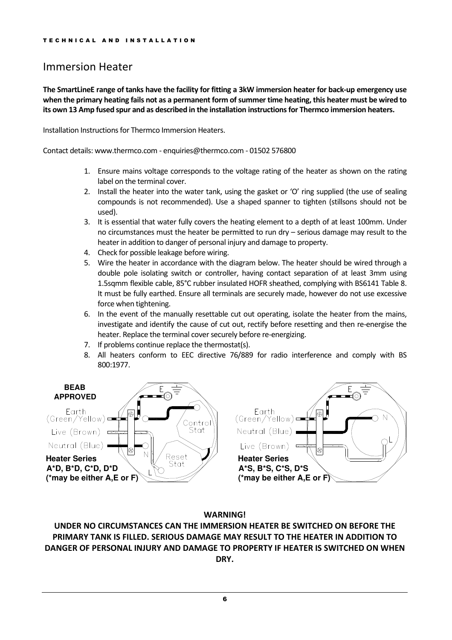### Immersion Heater

The SmartLineE range of tanks have the facility for fitting a 3kW immersion heater for back-up emergency use when the primary heating fails not as a permanent form of summer time heating, this heater must be wired to its own 13 Amp fused spur and as described in the installation instructions for Thermco immersion heaters.

Installation Instructions for Thermco Immersion Heaters.

Contact details: www.thermco.com - enquiries@thermco.com - 01502 576800

- 1. Ensure mains voltage corresponds to the voltage rating of the heater as shown on the rating label on the terminal cover.
- 2. Install the heater into the water tank, using the gasket or 'O' ring supplied (the use of sealing compounds is not recommended). Use a shaped spanner to tighten (stillsons should not be used).
- 3. It is essential that water fully covers the heating element to a depth of at least 100mm. Under no circumstances must the heater be permitted to run dry – serious damage may result to the heater in addition to danger of personal injury and damage to property.
- 4. Check for possible leakage before wiring.
- 5. Wire the heater in accordance with the diagram below. The heater should be wired through a double pole isolating switch or controller, having contact separation of at least 3mm using 1.5sqmm flexible cable, 85°C rubber insulated HOFR sheathed, complying with BS6141 Table 8. It must be fully earthed. Ensure all terminals are securely made, however do not use excessive force when tightening.
- 6. In the event of the manually resettable cut out operating, isolate the heater from the mains, investigate and identify the cause of cut out, rectify before resetting and then re-energise the heater. Replace the terminal cover securely before re-energizing.
- 7. If problems continue replace the thermostat(s).
- 8. All heaters conform to EEC directive 76/889 for radio interference and comply with BS 800:1977.



#### WARNING!

UNDER NO CIRCUMSTANCES CAN THE IMMERSION HEATER BE SWITCHED ON BEFORE THE PRIMARY TANK IS FILLED. SERIOUS DAMAGE MAY RESULT TO THE HEATER IN ADDITION TO DANGER OF PERSONAL INJURY AND DAMAGE TO PROPERTY IF HEATER IS SWITCHED ON WHEN DRY.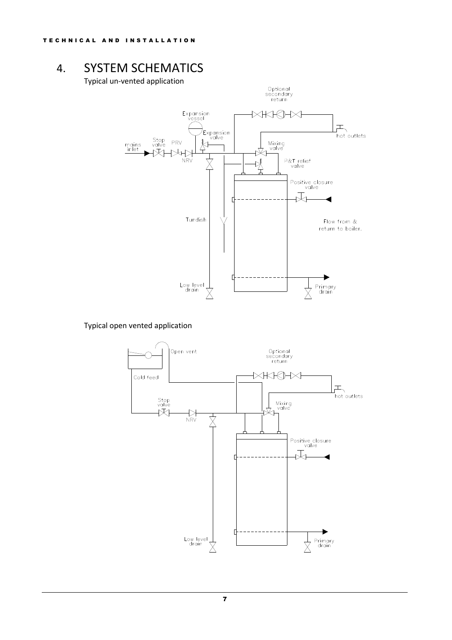## 4. SYSTEM SCHEMATICS

Typical un-vented application



Typical open vented application

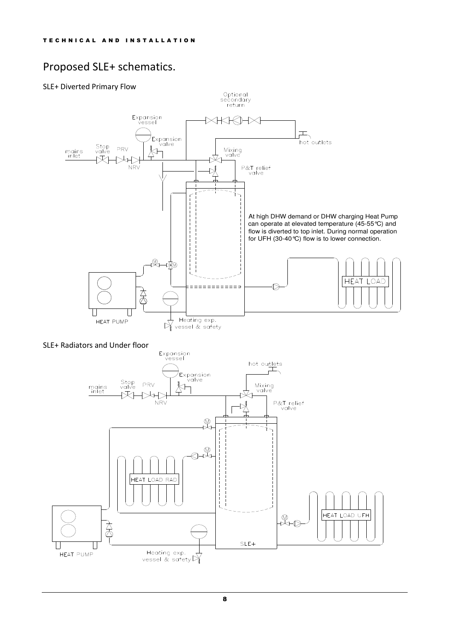## Proposed SLE+ schematics.

#### SLE+ Diverted Primary Flow



SLE+ Radiators and Under floor

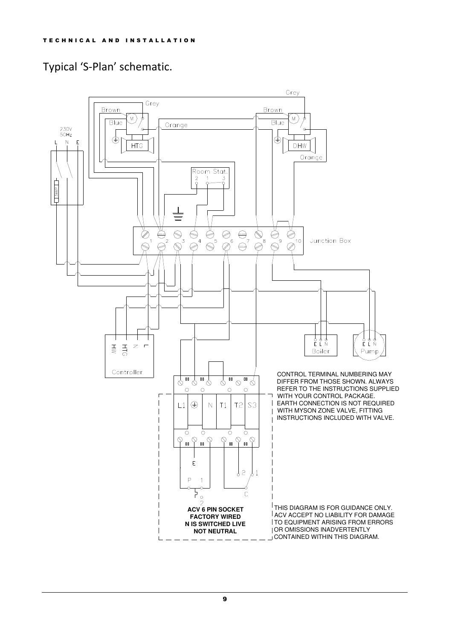## Typical 'S-Plan' schematic.

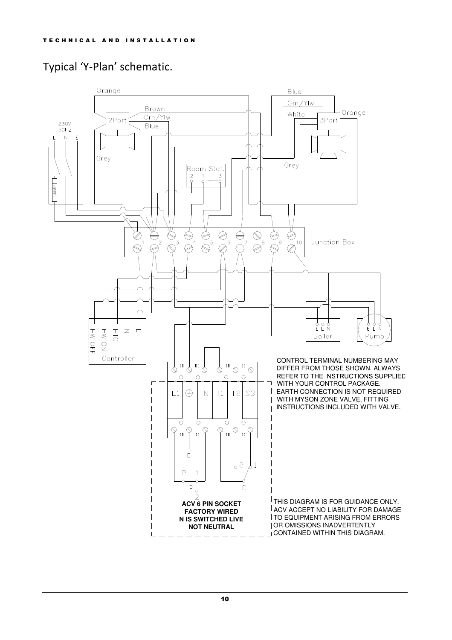## Typical 'Y-Plan' schematic.

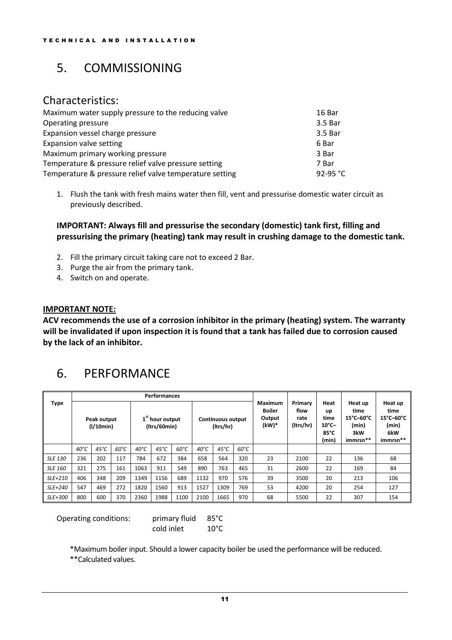## 5. COMMISSIONING

### Characteristics:

| Maximum water supply pressure to the reducing valve     | 16 Bar   |
|---------------------------------------------------------|----------|
| Operating pressure                                      | 3.5 Bar  |
| Expansion vessel charge pressure                        | 3.5 Bar  |
| Expansion valve setting                                 | 6 Bar    |
| Maximum primary working pressure                        | 3 Bar    |
| Temperature & pressure relief valve pressure setting    | 7 Bar    |
| Temperature & pressure relief valve temperature setting | 92-95 °C |

1. Flush the tank with fresh mains water then fill, vent and pressurise domestic water circuit as previously described.

IMPORTANT: Always fill and pressurise the secondary (domestic) tank first, filling and pressurising the primary (heating) tank may result in crushing damage to the domestic tank.

- 2. Fill the primary circuit taking care not to exceed 2 Bar.
- 3. Purge the air from the primary tank.
- 4. Switch on and operate.

#### IMPORTANT NOTE:

ACV recommends the use of a corrosion inhibitor in the primary (heating) system. The warranty will be invalidated if upon inspection it is found that a tank has failed due to corrosion caused by the lack of an inhibitor.

## 6. PERFORMANCE

|                | <b>Performances</b> |                          |               |               |                                             |               |                |                                       |               |                                                    |                                      |                                                        |                                                                                           |                                                                                           |
|----------------|---------------------|--------------------------|---------------|---------------|---------------------------------------------|---------------|----------------|---------------------------------------|---------------|----------------------------------------------------|--------------------------------------|--------------------------------------------------------|-------------------------------------------------------------------------------------------|-------------------------------------------------------------------------------------------|
| <b>Type</b>    |                     | Peak output<br>(1/10min) |               |               | 1 <sup>st</sup> hour output<br>(Itrs/60min) |               |                | <b>Continuous output</b><br>(Itrs/hr) |               | <b>Maximum</b><br><b>Boiler</b><br>Output<br>(kW)* | Primary<br>flow<br>rate<br>(Itrs/hr) | Heat<br>up<br>time<br>$10^{\circ}$ C-<br>85°C<br>(min) | Heat up<br>time<br>$15^{\circ}$ C $-60^{\circ}$ C<br>(min)<br>3kW<br>immrsn <sup>**</sup> | Heat up<br>time<br>$15^{\circ}$ C-60 $^{\circ}$ C<br>(min)<br>6kW<br>immrsn <sup>**</sup> |
|                | $40^{\circ}C$       | $45^{\circ}$ C           | $60^{\circ}C$ | $40^{\circ}C$ | $45^{\circ}C$                               | $60^{\circ}C$ | $40^{\circ}$ C | $45^{\circ}$ C                        | $60^{\circ}C$ |                                                    |                                      |                                                        |                                                                                           |                                                                                           |
| <b>SLE 130</b> | 236                 | 202                      | 117           | 784           | 672                                         | 384           | 658            | 564                                   | 320           | 23                                                 | 2100                                 | 22                                                     | 136                                                                                       | 68                                                                                        |
| <b>SLE 160</b> | 321                 | 275                      | 161           | 1063          | 911                                         | 549           | 890            | 763                                   | 465           | 31                                                 | 2600                                 | 22                                                     | 169                                                                                       | 84                                                                                        |
| SLE+210        | 406                 | 348                      | 209           | 1349          | 1156                                        | 689           | 1132           | 970                                   | 576           | 39                                                 | 3500                                 | 20                                                     | 213                                                                                       | 106                                                                                       |
| SLE+240        | 547                 | 469                      | 272           | 1820          | 1560                                        | 913           | 1527           | 1309                                  | 769           | 53                                                 | 4200                                 | 20                                                     | 254                                                                                       | 127                                                                                       |
| SLE+300        | 800                 | 600                      | 370           | 2360          | 1988                                        | 1100          | 2100           | 1665                                  | 970           | 68                                                 | 5500                                 | 22                                                     | 307                                                                                       | 154                                                                                       |

Operating conditions: primary fluid 85°C

cold inlet 10°C

\*Maximum boiler input. Should a lower capacity boiler be used the performance will be reduced.

\*\*Calculated values.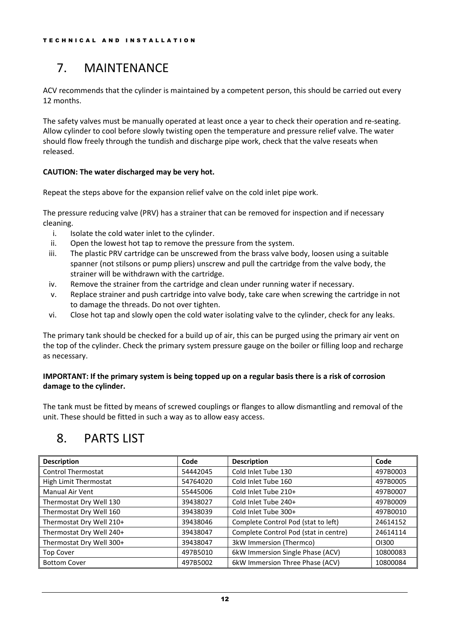# 7. MAINTENANCE

ACV recommends that the cylinder is maintained by a competent person, this should be carried out every 12 months.

The safety valves must be manually operated at least once a year to check their operation and re-seating. Allow cylinder to cool before slowly twisting open the temperature and pressure relief valve. The water should flow freely through the tundish and discharge pipe work, check that the valve reseats when released.

#### CAUTION: The water discharged may be very hot.

Repeat the steps above for the expansion relief valve on the cold inlet pipe work.

The pressure reducing valve (PRV) has a strainer that can be removed for inspection and if necessary cleaning.

- i. Isolate the cold water inlet to the cylinder.
- ii. Open the lowest hot tap to remove the pressure from the system.
- iii. The plastic PRV cartridge can be unscrewed from the brass valve body, loosen using a suitable spanner (not stilsons or pump pliers) unscrew and pull the cartridge from the valve body, the strainer will be withdrawn with the cartridge.
- iv. Remove the strainer from the cartridge and clean under running water if necessary.
- v. Replace strainer and push cartridge into valve body, take care when screwing the cartridge in not to damage the threads. Do not over tighten.
- vi. Close hot tap and slowly open the cold water isolating valve to the cylinder, check for any leaks.

The primary tank should be checked for a build up of air, this can be purged using the primary air vent on the top of the cylinder. Check the primary system pressure gauge on the boiler or filling loop and recharge as necessary.

#### IMPORTANT: If the primary system is being topped up on a regular basis there is a risk of corrosion damage to the cylinder.

The tank must be fitted by means of screwed couplings or flanges to allow dismantling and removal of the unit. These should be fitted in such a way as to allow easy access.

## 8. PARTS LIST

| <b>Description</b>        | Code     | <b>Description</b>                    | Code     |
|---------------------------|----------|---------------------------------------|----------|
| <b>Control Thermostat</b> | 54442045 | Cold Inlet Tube 130                   | 497B0003 |
| High Limit Thermostat     | 54764020 | Cold Inlet Tube 160                   | 497B0005 |
| Manual Air Vent           | 55445006 | Cold Inlet Tube 210+                  | 497B0007 |
| Thermostat Dry Well 130   | 39438027 | Cold Inlet Tube 240+                  | 497B0009 |
| Thermostat Dry Well 160   | 39438039 | Cold Inlet Tube 300+                  | 497B0010 |
| Thermostat Dry Well 210+  | 39438046 | Complete Control Pod (stat to left)   | 24614152 |
| Thermostat Dry Well 240+  | 39438047 | Complete Control Pod (stat in centre) | 24614114 |
| Thermostat Dry Well 300+  | 39438047 | 3kW Immersion (Thermco)               | O1300    |
| <b>Top Cover</b>          | 497B5010 | 6kW Immersion Single Phase (ACV)      | 10800083 |
| <b>Bottom Cover</b>       | 497B5002 | 6kW Immersion Three Phase (ACV)       | 10800084 |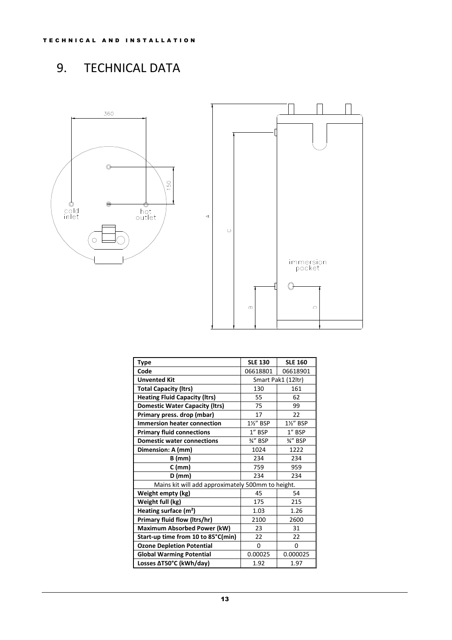# 9. TECHNICAL DATA



| <b>Type</b>                                       | <b>SLE 130</b> | <b>SLE 160</b>     |  |  |
|---------------------------------------------------|----------------|--------------------|--|--|
| Code                                              | 06618801       | 06618901           |  |  |
| <b>Unvented Kit</b>                               |                | Smart Pak1 (12ltr) |  |  |
| <b>Total Capacity (Itrs)</b>                      | 130            | 161                |  |  |
| <b>Heating Fluid Capacity (Itrs)</b>              | 55             | 62                 |  |  |
| <b>Domestic Water Capacity (Itrs)</b>             | 75             | 99                 |  |  |
| Primary press. drop (mbar)                        | 17             | 22                 |  |  |
| <b>Immersion heater connection</b>                | 1%" BSP        | 1%" BSP            |  |  |
| <b>Primary fluid connections</b>                  | 1" BSP         | $1''$ BSP          |  |  |
| <b>Domestic water connections</b>                 | %" BSP         | %" BSP             |  |  |
| Dimension: A (mm)                                 | 1024           | 1222               |  |  |
| <b>B</b> (mm)                                     | 234            | 234                |  |  |
| $C$ (mm)                                          | 759            | 959                |  |  |
| D (mm)                                            | 234            | 234                |  |  |
| Mains kit will add approximately 500mm to height. |                |                    |  |  |
| Weight empty (kg)                                 | 45             | 54                 |  |  |
| Weight full (kg)                                  | 175            | 215                |  |  |
| Heating surface $(m2)$                            | 1.03           | 1.26               |  |  |
| Primary fluid flow (Itrs/hr)                      | 2100           | 2600               |  |  |
| <b>Maximum Absorbed Power (kW)</b>                | 23             | 31                 |  |  |
| Start-up time from 10 to 85°C(min)                | 22             | 22                 |  |  |
| <b>Ozone Depletion Potential</b>                  | 0              | 0                  |  |  |
| <b>Global Warming Potential</b>                   | 0.00025        | 0.000025           |  |  |
| Losses ∆T50°C (kWh/day)                           | 1.92           | 1.97               |  |  |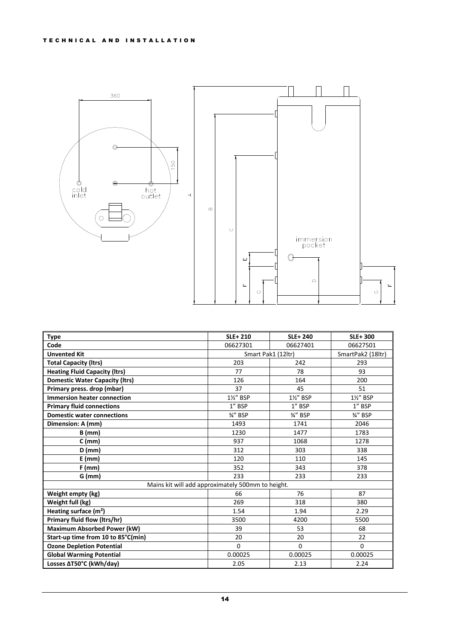

| <b>Type</b>                           | <b>SLE+210</b>                                    | <b>SLE+240</b>     | <b>SLE+300</b>    |
|---------------------------------------|---------------------------------------------------|--------------------|-------------------|
| Code                                  | 06627301                                          | 06627401           | 06627501          |
| <b>Unvented Kit</b>                   |                                                   | Smart Pak1 (12ltr) | SmartPak2 (18ltr) |
| <b>Total Capacity (Itrs)</b>          | 203                                               | 242                | 293               |
| <b>Heating Fluid Capacity (Itrs)</b>  | 77                                                | 78                 | 93                |
| <b>Domestic Water Capacity (Itrs)</b> | 126                                               | 164                | 200               |
| Primary press. drop (mbar)            | 37                                                | 45                 | 51                |
| <b>Immersion heater connection</b>    | 1½" BSP                                           | 1½" BSP            | 1½" BSP           |
| <b>Primary fluid connections</b>      | 1" BSP                                            | 1" BSP             | 1" BSP            |
| <b>Domestic water connections</b>     | 3/4" BSP                                          | 3⁄4" BSP           | 3/4" BSP          |
| Dimension: A (mm)                     | 1493                                              | 1741               | 2046              |
| $B$ (mm)                              | 1230                                              | 1477               | 1783              |
| $C$ (mm)                              | 937                                               | 1068               | 1278              |
| $D$ (mm)                              | 312                                               | 303                | 338               |
| $E$ (mm)                              | 120                                               | 110                | 145               |
| $F$ (mm)                              | 352                                               | 343                | 378               |
| $G$ (mm)                              | 233                                               | 233                | 233               |
|                                       | Mains kit will add approximately 500mm to height. |                    |                   |
| Weight empty (kg)                     | 66                                                | 76                 | 87                |
| Weight full (kg)                      | 269                                               | 318                | 380               |
| Heating surface (m <sup>2</sup> )     | 1.54                                              | 1.94               | 2.29              |
| <b>Primary fluid flow (Itrs/hr)</b>   | 3500                                              | 4200               | 5500              |
| <b>Maximum Absorbed Power (kW)</b>    | 39                                                | 53                 | 68                |
| Start-up time from 10 to 85°C(min)    | 20                                                | 20                 | 22                |
| <b>Ozone Depletion Potential</b>      | $\mathbf 0$                                       | $\Omega$           | $\mathbf 0$       |
| <b>Global Warming Potential</b>       | 0.00025                                           | 0.00025            | 0.00025           |
| Losses AT50°C (kWh/day)               | 2.05                                              | 2.13               | 2.24              |

14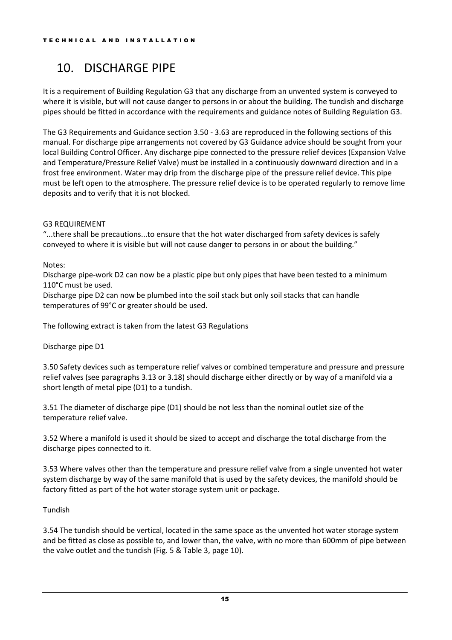## 10. DISCHARGE PIPE

It is a requirement of Building Regulation G3 that any discharge from an unvented system is conveyed to where it is visible, but will not cause danger to persons in or about the building. The tundish and discharge pipes should be fitted in accordance with the requirements and guidance notes of Building Regulation G3.

The G3 Requirements and Guidance section 3.50 - 3.63 are reproduced in the following sections of this manual. For discharge pipe arrangements not covered by G3 Guidance advice should be sought from your local Building Control Officer. Any discharge pipe connected to the pressure relief devices (Expansion Valve and Temperature/Pressure Relief Valve) must be installed in a continuously downward direction and in a frost free environment. Water may drip from the discharge pipe of the pressure relief device. This pipe must be left open to the atmosphere. The pressure relief device is to be operated regularly to remove lime deposits and to verify that it is not blocked.

### G3 REQUIREMENT

"...there shall be precautions...to ensure that the hot water discharged from safety devices is safely conveyed to where it is visible but will not cause danger to persons in or about the building."

#### Notes:

Discharge pipe-work D2 can now be a plastic pipe but only pipes that have been tested to a minimum 110°C must be used.

Discharge pipe D2 can now be plumbed into the soil stack but only soil stacks that can handle temperatures of 99°C or greater should be used.

The following extract is taken from the latest G3 Regulations

#### Discharge pipe D1

3.50 Safety devices such as temperature relief valves or combined temperature and pressure and pressure relief valves (see paragraphs 3.13 or 3.18) should discharge either directly or by way of a manifold via a short length of metal pipe (D1) to a tundish.

3.51 The diameter of discharge pipe (D1) should be not less than the nominal outlet size of the temperature relief valve.

3.52 Where a manifold is used it should be sized to accept and discharge the total discharge from the discharge pipes connected to it.

3.53 Where valves other than the temperature and pressure relief valve from a single unvented hot water system discharge by way of the same manifold that is used by the safety devices, the manifold should be factory fitted as part of the hot water storage system unit or package.

#### Tundish

3.54 The tundish should be vertical, located in the same space as the unvented hot water storage system and be fitted as close as possible to, and lower than, the valve, with no more than 600mm of pipe between the valve outlet and the tundish (Fig. 5 & Table 3, page 10).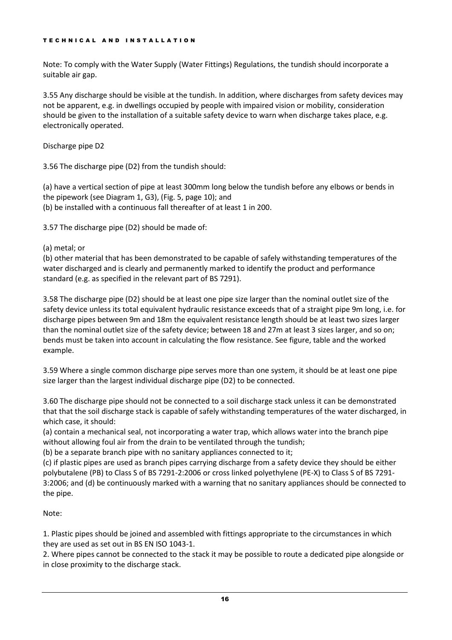Note: To comply with the Water Supply (Water Fittings) Regulations, the tundish should incorporate a suitable air gap.

3.55 Any discharge should be visible at the tundish. In addition, where discharges from safety devices may not be apparent, e.g. in dwellings occupied by people with impaired vision or mobility, consideration should be given to the installation of a suitable safety device to warn when discharge takes place, e.g. electronically operated.

Discharge pipe D2

3.56 The discharge pipe (D2) from the tundish should:

(a) have a vertical section of pipe at least 300mm long below the tundish before any elbows or bends in the pipework (see Diagram 1, G3), (Fig. 5, page 10); and (b) be installed with a continuous fall thereafter of at least 1 in 200.

3.57 The discharge pipe (D2) should be made of:

#### (a) metal; or

(b) other material that has been demonstrated to be capable of safely withstanding temperatures of the water discharged and is clearly and permanently marked to identify the product and performance standard (e.g. as specified in the relevant part of BS 7291).

3.58 The discharge pipe (D2) should be at least one pipe size larger than the nominal outlet size of the safety device unless its total equivalent hydraulic resistance exceeds that of a straight pipe 9m long, i.e. for discharge pipes between 9m and 18m the equivalent resistance length should be at least two sizes larger than the nominal outlet size of the safety device; between 18 and 27m at least 3 sizes larger, and so on; bends must be taken into account in calculating the flow resistance. See figure, table and the worked example.

3.59 Where a single common discharge pipe serves more than one system, it should be at least one pipe size larger than the largest individual discharge pipe (D2) to be connected.

3.60 The discharge pipe should not be connected to a soil discharge stack unless it can be demonstrated that that the soil discharge stack is capable of safely withstanding temperatures of the water discharged, in which case, it should:

(a) contain a mechanical seal, not incorporating a water trap, which allows water into the branch pipe without allowing foul air from the drain to be ventilated through the tundish;

(b) be a separate branch pipe with no sanitary appliances connected to it;

(c) if plastic pipes are used as branch pipes carrying discharge from a safety device they should be either polybutalene (PB) to Class S of BS 7291-2:2006 or cross linked polyethylene (PE-X) to Class S of BS 7291- 3:2006; and (d) be continuously marked with a warning that no sanitary appliances should be connected to the pipe.

### Note:

1. Plastic pipes should be joined and assembled with fittings appropriate to the circumstances in which they are used as set out in BS EN ISO 1043-1.

2. Where pipes cannot be connected to the stack it may be possible to route a dedicated pipe alongside or in close proximity to the discharge stack.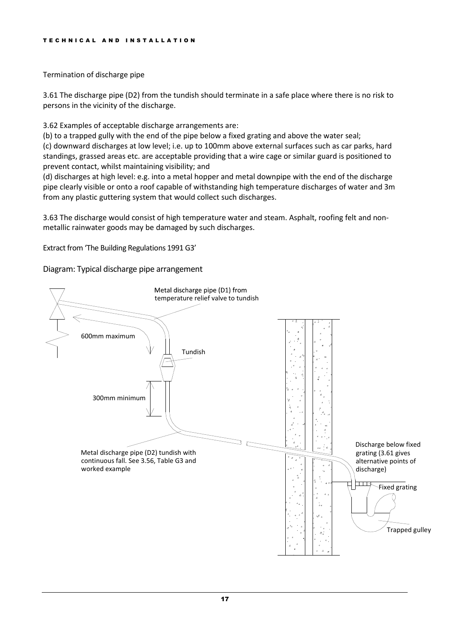Termination of discharge pipe

3.61 The discharge pipe (D2) from the tundish should terminate in a safe place where there is no risk to persons in the vicinity of the discharge.

3.62 Examples of acceptable discharge arrangements are:

(b) to a trapped gully with the end of the pipe below a fixed grating and above the water seal; (c) downward discharges at low level; i.e. up to 100mm above external surfaces such as car parks, hard standings, grassed areas etc. are acceptable providing that a wire cage or similar guard is positioned to prevent contact, whilst maintaining visibility; and

(d) discharges at high level: e.g. into a metal hopper and metal downpipe with the end of the discharge pipe clearly visible or onto a roof capable of withstanding high temperature discharges of water and 3m from any plastic guttering system that would collect such discharges.

3.63 The discharge would consist of high temperature water and steam. Asphalt, roofing felt and nonmetallic rainwater goods may be damaged by such discharges.

Extract from 'The Building Regulations 1991 G3'

Diagram: Typical discharge pipe arrangement

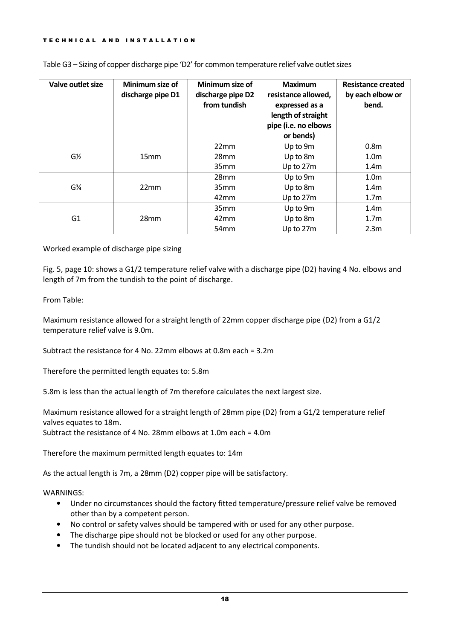| Valve outlet size             | Minimum size of<br>discharge pipe D1 | Minimum size of<br>discharge pipe D2<br>from tundish | <b>Maximum</b><br>resistance allowed,<br>expressed as a<br>length of straight<br>pipe (i.e. no elbows<br>or bends) | Resistance created<br>by each elbow or<br>bend. |
|-------------------------------|--------------------------------------|------------------------------------------------------|--------------------------------------------------------------------------------------------------------------------|-------------------------------------------------|
|                               |                                      | 22mm                                                 | Up to 9m                                                                                                           | 0.8 <sub>m</sub>                                |
| $G\frac{1}{2}$                | 15 <sub>mm</sub>                     | 28 <sub>mm</sub>                                     | Up to 8m                                                                                                           | 1.0 <sub>m</sub>                                |
|                               |                                      | 35 <sub>mm</sub>                                     | Up to 27m                                                                                                          | 1.4 <sub>m</sub>                                |
|                               |                                      | 28 <sub>mm</sub>                                     | Up to 9m                                                                                                           | 1.0 <sub>m</sub>                                |
| G <sup>3</sup> / <sub>4</sub> | 22mm                                 | 35 <sub>mm</sub>                                     | Up to 8m                                                                                                           | 1.4 <sub>m</sub>                                |
|                               |                                      | 42mm                                                 | Up to 27m                                                                                                          | 1.7 <sub>m</sub>                                |
|                               |                                      | 35 <sub>mm</sub>                                     | Up to 9m                                                                                                           | 1.4 <sub>m</sub>                                |
| G <sub>1</sub>                | 28mm                                 | 42 <sub>mm</sub>                                     | Up to 8m                                                                                                           | 1.7 <sub>m</sub>                                |
|                               |                                      | 54 <sub>mm</sub>                                     | Up to 27m                                                                                                          | 2.3 <sub>m</sub>                                |

Table G3 – Sizing of copper discharge pipe 'D2' for common temperature relief valve outlet sizes

Worked example of discharge pipe sizing

Fig. 5, page 10: shows a G1/2 temperature relief valve with a discharge pipe (D2) having 4 No. elbows and length of 7m from the tundish to the point of discharge.

From Table:

Maximum resistance allowed for a straight length of 22mm copper discharge pipe (D2) from a G1/2 temperature relief valve is 9.0m.

Subtract the resistance for 4 No. 22mm elbows at 0.8m each = 3.2m

Therefore the permitted length equates to: 5.8m

5.8m is less than the actual length of 7m therefore calculates the next largest size.

Maximum resistance allowed for a straight length of 28mm pipe (D2) from a G1/2 temperature relief valves equates to 18m.

Subtract the resistance of 4 No. 28mm elbows at 1.0m each = 4.0m

Therefore the maximum permitted length equates to: 14m

As the actual length is 7m, a 28mm (D2) copper pipe will be satisfactory.

WARNINGS:

- Under no circumstances should the factory fitted temperature/pressure relief valve be removed other than by a competent person.
- No control or safety valves should be tampered with or used for any other purpose.
- The discharge pipe should not be blocked or used for any other purpose.
- The tundish should not be located adjacent to any electrical components.